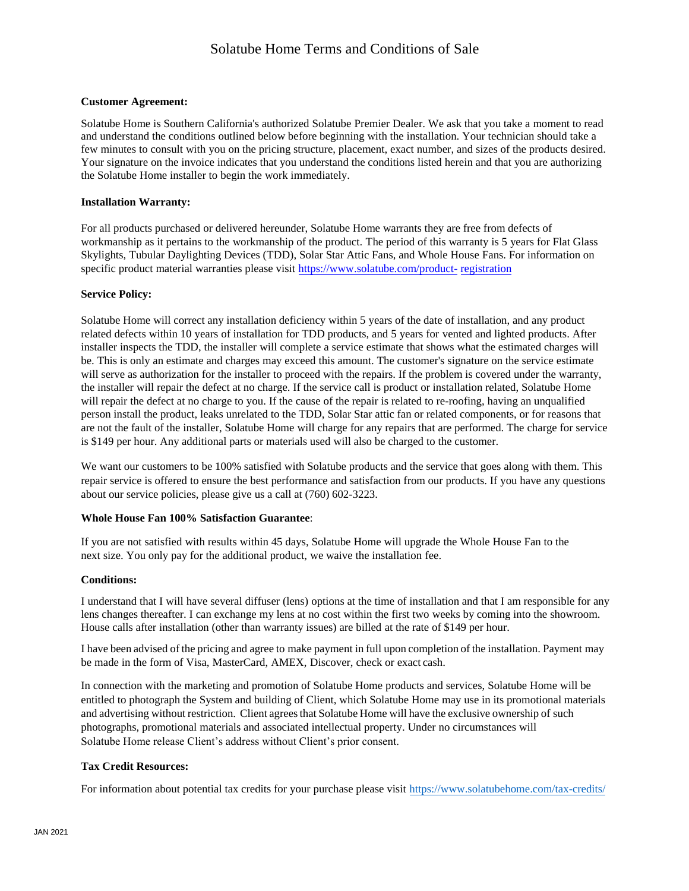#### **Customer Agreement:**

Solatube Home is Southern California's authorized Solatube Premier Dealer. We ask that you take a moment to read and understand the conditions outlined below before beginning with the installation. Your technician should take a few minutes to consult with you on the pricing structure, placement, exact number, and sizes of the products desired. Your signature on the invoice indicates that you understand the conditions listed herein and that you are authorizing the Solatube Home installer to begin the work immediately.

#### **Installation Warranty:**

For all products purchased or delivered hereunder, Solatube Home warrants they are free from defects of workmanship as it pertains to the workmanship of the product. The period of this warranty is 5 years for Flat Glass Skylights, Tubular Daylighting Devices (TDD), Solar Star Attic Fans, and Whole House Fans. For information on specific product material warranties please visit [https://www.solatube.com/product-](https://www.solatube.com/product-registration) [registration](https://www.solatube.com/product-registration)

#### **Service Policy:**

Solatube Home will correct any installation deficiency within 5 years of the date of installation, and any product related defects within 10 years of installation for TDD products, and 5 years for vented and lighted products. After installer inspects the TDD, the installer will complete a service estimate that shows what the estimated charges will be. This is only an estimate and charges may exceed this amount. The customer's signature on the service estimate will serve as authorization for the installer to proceed with the repairs. If the problem is covered under the warranty, the installer will repair the defect at no charge. If the service call is product or installation related, Solatube Home will repair the defect at no charge to you. If the cause of the repair is related to re-roofing, having an unqualified person install the product, leaks unrelated to the TDD, Solar Star attic fan or related components, or for reasons that are not the fault of the installer, Solatube Home will charge for any repairs that are performed. The charge for service is \$149 per hour. Any additional parts or materials used will also be charged to the customer.

We want our customers to be 100% satisfied with Solatube products and the service that goes along with them. This repair service is offered to ensure the best performance and satisfaction from our products. If you have any questions about our service policies, please give us a call at (760) 602-3223.

#### **Whole House Fan 100% Satisfaction Guarantee**:

If you are not satisfied with results within 45 days, Solatube Home will upgrade the Whole House Fan to the next size. You only pay for the additional product, we waive the installation fee.

#### **Conditions:**

I understand that I will have several diffuser (lens) options at the time of installation and that I am responsible for any lens changes thereafter. I can exchange my lens at no cost within the first two weeks by coming into the showroom. House calls after installation (other than warranty issues) are billed at the rate of \$149 per hour.

I have been advised of the pricing and agree to make payment in full upon completion of the installation. Payment may be made in the form of Visa, MasterCard, AMEX, Discover, check or exact cash.

In connection with the marketing and promotion of Solatube Home products and services, Solatube Home will be entitled to photograph the System and building of Client, which Solatube Home may use in its promotional materials and advertising without restriction. Client agrees that Solatube Home will have the exclusive ownership of such photographs, promotional materials and associated intellectual property. Under no circumstances will Solatube Home release Client's address without Client's prior consent.

#### **Tax Credit Resources:**

For information about potential tax credits for your purchase please visit [https://www.solatubehome.com/tax-](http://www.solatubehome.com/tax-credits/)credits/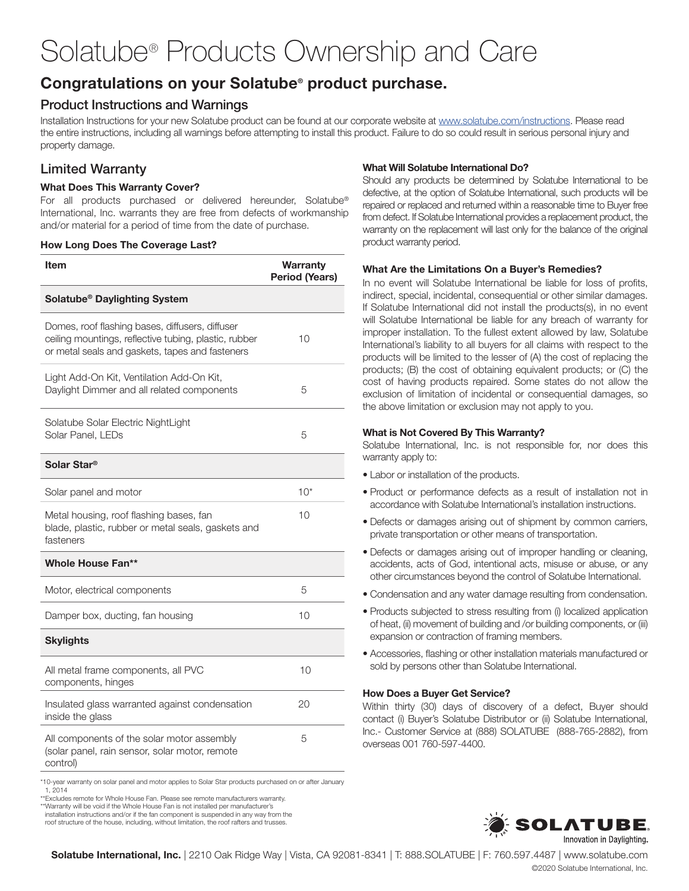# Solatube® Products Ownership and Care

## Congratulations on your Solatube® product purchase.

### Product Instructions and Warnings

Installation Instructions for your new Solatube product can be found at our corporate website at www.solatube.com/instructions. Please read the entire instructions, including all warnings before attempting to install this product. Failure to do so could result in serious personal injury and property damage.

## Limited Warranty

#### What Does This Warranty Cover?

For all products purchased or delivered hereunder, Solatube® International, Inc. warrants they are free from defects of workmanship and/or material for a period of time from the date of purchase.

#### How Long Does The Coverage Last?

| Item                                                                                                                                                        | Warranty<br><b>Period (Years)</b> |
|-------------------------------------------------------------------------------------------------------------------------------------------------------------|-----------------------------------|
| Solatube <sup>®</sup> Daylighting System                                                                                                                    |                                   |
| Domes, roof flashing bases, diffusers, diffuser<br>ceiling mountings, reflective tubing, plastic, rubber<br>or metal seals and gaskets, tapes and fasteners | 10                                |
| Light Add-On Kit, Ventilation Add-On Kit,<br>Daylight Dimmer and all related components                                                                     | 5                                 |
| Solatube Solar Electric NightLight<br>Solar Panel, LEDs                                                                                                     | 5                                 |
| Solar Star <sup>®</sup>                                                                                                                                     |                                   |
| Solar panel and motor                                                                                                                                       | $10*$                             |
| Metal housing, roof flashing bases, fan<br>blade, plastic, rubber or metal seals, gaskets and<br>fasteners                                                  | 10                                |
| <b>Whole House Fan**</b>                                                                                                                                    |                                   |
| Motor, electrical components                                                                                                                                | 5                                 |
| Damper box, ducting, fan housing                                                                                                                            | 10                                |
| <b>Skylights</b>                                                                                                                                            |                                   |
| All metal frame components, all PVC<br>components, hinges                                                                                                   | 10                                |
| Insulated glass warranted against condensation<br>inside the glass                                                                                          | 20                                |
| All components of the solar motor assembly<br>(solar panel, rain sensor, solar motor, remote<br>control)                                                    | 5                                 |

## What Will Solatube International Do?

Should any products be determined by Solatube International to be defective, at the option of Solatube International, such products will be repaired or replaced and returned within a reasonable time to Buyer free from defect. If Solatube International provides a replacement product, the warranty on the replacement will last only for the balance of the original product warranty period.

#### What Are the Limitations On a Buyer's Remedies?

In no event will Solatube International be liable for loss of profits, indirect, special, incidental, consequential or other similar damages. If Solatube International did not install the products(s), in no event will Solatube International be liable for any breach of warranty for improper installation. To the fullest extent allowed by law, Solatube International's liability to all buyers for all claims with respect to the products will be limited to the lesser of (A) the cost of replacing the products; (B) the cost of obtaining equivalent products; or (C) the cost of having products repaired. Some states do not allow the exclusion of limitation of incidental or consequential damages, so the above limitation or exclusion may not apply to you.

#### What is Not Covered By This Warranty?

Solatube International, Inc. is not responsible for, nor does this warranty apply to:

- Labor or installation of the products.
- Product or performance defects as a result of installation not in accordance with Solatube International's installation instructions.
- Defects or damages arising out of shipment by common carriers, private transportation or other means of transportation.
- Defects or damages arising out of improper handling or cleaning, accidents, acts of God, intentional acts, misuse or abuse, or any other circumstances beyond the control of Solatube International.
- Condensation and any water damage resulting from condensation.
- Products subjected to stress resulting from (i) localized application of heat, (ii) movement of building and /or building components, or (iii) expansion or contraction of framing members.
- Accessories, flashing or other installation materials manufactured or sold by persons other than Solatube International.

#### How Does a Buyer Get Service?

Within thirty (30) days of discovery of a defect, Buyer should contact (i) Buyer's Solatube Distributor or (ii) Solatube International, Inc.- Customer Service at (888) SOLATUBE (888-765-2882), from overseas 001 760-597-4400.

\*10-year warranty on solar panel and motor applies to Solar Star products purchased on or after January 1, 2014

\*\*Excludes remote for Whole House Fan. Please see remote manufacturers warranty. \*\*Warranty will be void if the Whole House Fan is not installed per manufacturer's

installation instructions and/or if the fan component is suspended in any way from the

roof structure of the house, including, without limitation, the roof rafters and trusses.



Solatube International, Inc. | 2210 Oak Ridge Way | Vista, CA 92081-8341 | T: 888.SOLATUBE | F: 760.597.4487 | www.solatube.com ©2020 Solatube International, Inc.